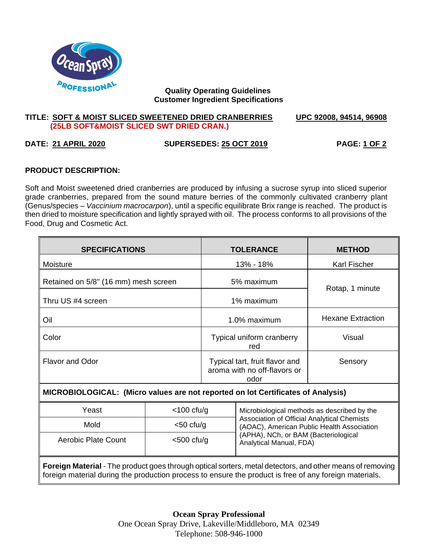

### **Quality Operating Guidelines Customer Ingredient Specifications**

### **TITLE: SOFT & MOIST SLICED SWEETENED DRIED CRANBERRIES UPC 92008, 94514, 96908 (25LB SOFT&MOIST SLICED SWT DRIED CRAN.)**

# **DATE: 21 APRIL 2020 SUPERSEDES: 25 OCT 2019 PAGE: 1 OF 2**

# **PRODUCT DESCRIPTION:**

Soft and Moist sweetened dried cranberries are produced by infusing a sucrose syrup into sliced superior grade cranberries, prepared from the sound mature berries of the commonly cultivated cranberry plant (Genus/species – *Vaccinium macrocarpon*), until a specific equilibrate Brix range is reached. The product is then dried to moisture specification and lightly sprayed with oil. The process conforms to all provisions of the Food, Drug and Cosmetic Act.

| <b>SPECIFICATIONS</b>                                                                                                                                                                                               |               |                                                                        | <b>TOLERANCE</b>                                                                                                                                                                                            | <b>METHOD</b>            |
|---------------------------------------------------------------------------------------------------------------------------------------------------------------------------------------------------------------------|---------------|------------------------------------------------------------------------|-------------------------------------------------------------------------------------------------------------------------------------------------------------------------------------------------------------|--------------------------|
| Moisture                                                                                                                                                                                                            |               | 13% - 18%                                                              |                                                                                                                                                                                                             | <b>Karl Fischer</b>      |
| Retained on 5/8" (16 mm) mesh screen                                                                                                                                                                                |               | 5% maximum                                                             |                                                                                                                                                                                                             | Rotap, 1 minute          |
| Thru US #4 screen                                                                                                                                                                                                   |               | 1% maximum                                                             |                                                                                                                                                                                                             |                          |
| Oil                                                                                                                                                                                                                 |               | 1.0% maximum                                                           |                                                                                                                                                                                                             | <b>Hexane Extraction</b> |
| Color                                                                                                                                                                                                               |               | Typical uniform cranberry<br>red                                       |                                                                                                                                                                                                             | Visual                   |
| <b>Flavor and Odor</b>                                                                                                                                                                                              |               | Typical tart, fruit flavor and<br>aroma with no off-flavors or<br>odor |                                                                                                                                                                                                             | Sensory                  |
| MICROBIOLOGICAL: (Micro values are not reported on lot Certificates of Analysis)                                                                                                                                    |               |                                                                        |                                                                                                                                                                                                             |                          |
| Yeast                                                                                                                                                                                                               | $<$ 100 cfu/g |                                                                        | Microbiological methods as described by the<br>Association of Official Analytical Chemists<br>(AOAC), American Public Health Association<br>(APHA), NCh, or BAM (Bacteriological<br>Analytical Manual, FDA) |                          |
| Mold                                                                                                                                                                                                                | $<$ 50 cfu/g  |                                                                        |                                                                                                                                                                                                             |                          |
| <b>Aerobic Plate Count</b>                                                                                                                                                                                          | $<$ 500 cfu/g |                                                                        |                                                                                                                                                                                                             |                          |
| Foreign Material - The product goes through optical sorters, metal detectors, and other means of removing<br>foreign material during the production process to ensure the product is free of any foreign materials. |               |                                                                        |                                                                                                                                                                                                             |                          |